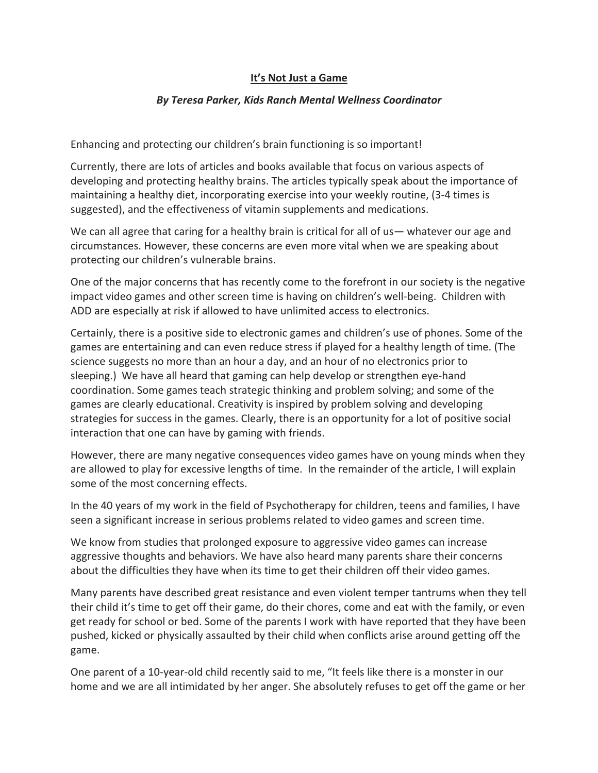## **It's Not Just a Game**

## *By Teresa Parker, Kids Ranch Mental Wellness Coordinator*

Enhancing and protecting our children's brain functioning is so important!

Currently, there are lots of articles and books available that focus on various aspects of developing and protecting healthy brains. The articles typically speak about the importance of maintaining a healthy diet, incorporating exercise into your weekly routine, (3-4 times is suggested), and the effectiveness of vitamin supplements and medications.

We can all agree that caring for a healthy brain is critical for all of us— whatever our age and circumstances. However, these concerns are even more vital when we are speaking about protecting our children's vulnerable brains.

One of the major concerns that has recently come to the forefront in our society is the negative impact video games and other screen time is having on children's well-being. Children with ADD are especially at risk if allowed to have unlimited access to electronics.

Certainly, there is a positive side to electronic games and children's use of phones. Some of the games are entertaining and can even reduce stress if played for a healthy length of time. (The science suggests no more than an hour a day, and an hour of no electronics prior to sleeping.) We have all heard that gaming can help develop or strengthen eye-hand coordination. Some games teach strategic thinking and problem solving; and some of the games are clearly educational. Creativity is inspired by problem solving and developing strategies for success in the games. Clearly, there is an opportunity for a lot of positive social interaction that one can have by gaming with friends.

However, there are many negative consequences video games have on young minds when they are allowed to play for excessive lengths of time. In the remainder of the article, I will explain some of the most concerning effects.

In the 40 years of my work in the field of Psychotherapy for children, teens and families, I have seen a significant increase in serious problems related to video games and screen time.

We know from studies that prolonged exposure to aggressive video games can increase aggressive thoughts and behaviors. We have also heard many parents share their concerns about the difficulties they have when its time to get their children off their video games.

Many parents have described great resistance and even violent temper tantrums when they tell their child it's time to get off their game, do their chores, come and eat with the family, or even get ready for school or bed. Some of the parents I work with have reported that they have been pushed, kicked or physically assaulted by their child when conflicts arise around getting off the game.

One parent of a 10-year-old child recently said to me, "It feels like there is a monster in our home and we are all intimidated by her anger. She absolutely refuses to get off the game or her